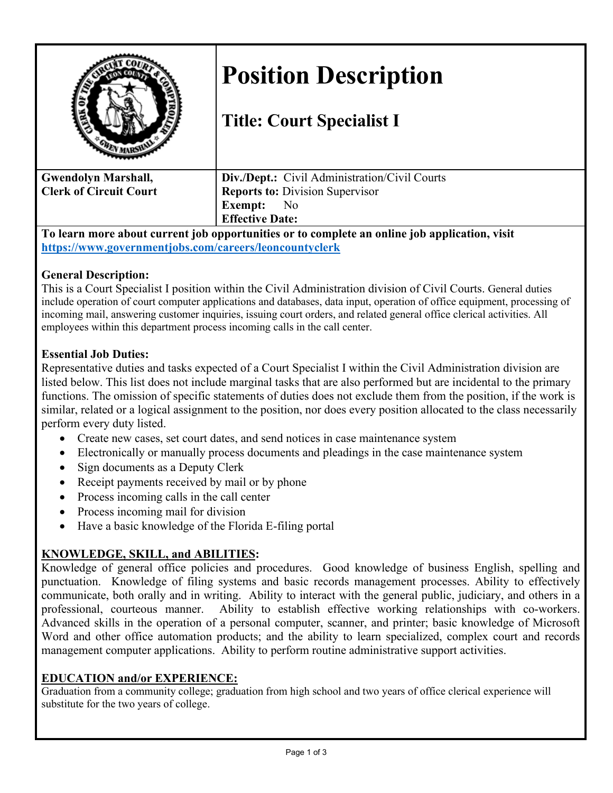

# **Position Description**

## **Title: Court Specialist I**

| <b>Gwendolyn Marshall,</b>    | <b>Div./Dept.:</b> Civil Administration/Civil Courts |
|-------------------------------|------------------------------------------------------|
| <b>Clerk of Circuit Court</b> | <b>Reports to: Division Supervisor</b>               |
|                               | <b>Exempt:</b> No                                    |
|                               | <b>Effective Date:</b>                               |

**To learn more about current job opportunities or to complete an online job application, visit <https://www.governmentjobs.com/careers/leoncountyclerk>**

#### **General Description:**

This is a Court Specialist I position within the Civil Administration division of Civil Courts. General duties include operation of court computer applications and databases, data input, operation of office equipment, processing of incoming mail, answering customer inquiries, issuing court orders, and related general office clerical activities. All employees within this department process incoming calls in the call center.

#### **Essential Job Duties:**

Representative duties and tasks expected of a Court Specialist I within the Civil Administration division are listed below. This list does not include marginal tasks that are also performed but are incidental to the primary functions. The omission of specific statements of duties does not exclude them from the position, if the work is similar, related or a logical assignment to the position, nor does every position allocated to the class necessarily perform every duty listed.

- Create new cases, set court dates, and send notices in case maintenance system
- Electronically or manually process documents and pleadings in the case maintenance system
- Sign documents as a Deputy Clerk
- Receipt payments received by mail or by phone
- Process incoming calls in the call center
- Process incoming mail for division
- Have a basic knowledge of the Florida E-filing portal

### **KNOWLEDGE, SKILL, and ABILITIES:**

Knowledge of general office policies and procedures. Good knowledge of business English, spelling and punctuation. Knowledge of filing systems and basic records management processes. Ability to effectively communicate, both orally and in writing. Ability to interact with the general public, judiciary, and others in a professional, courteous manner. Ability to establish effective working relationships with co-workers. Advanced skills in the operation of a personal computer, scanner, and printer; basic knowledge of Microsoft Word and other office automation products; and the ability to learn specialized, complex court and records management computer applications. Ability to perform routine administrative support activities.

#### **EDUCATION and/or EXPERIENCE:**

Graduation from a community college; graduation from high school and two years of office clerical experience will substitute for the two years of college.